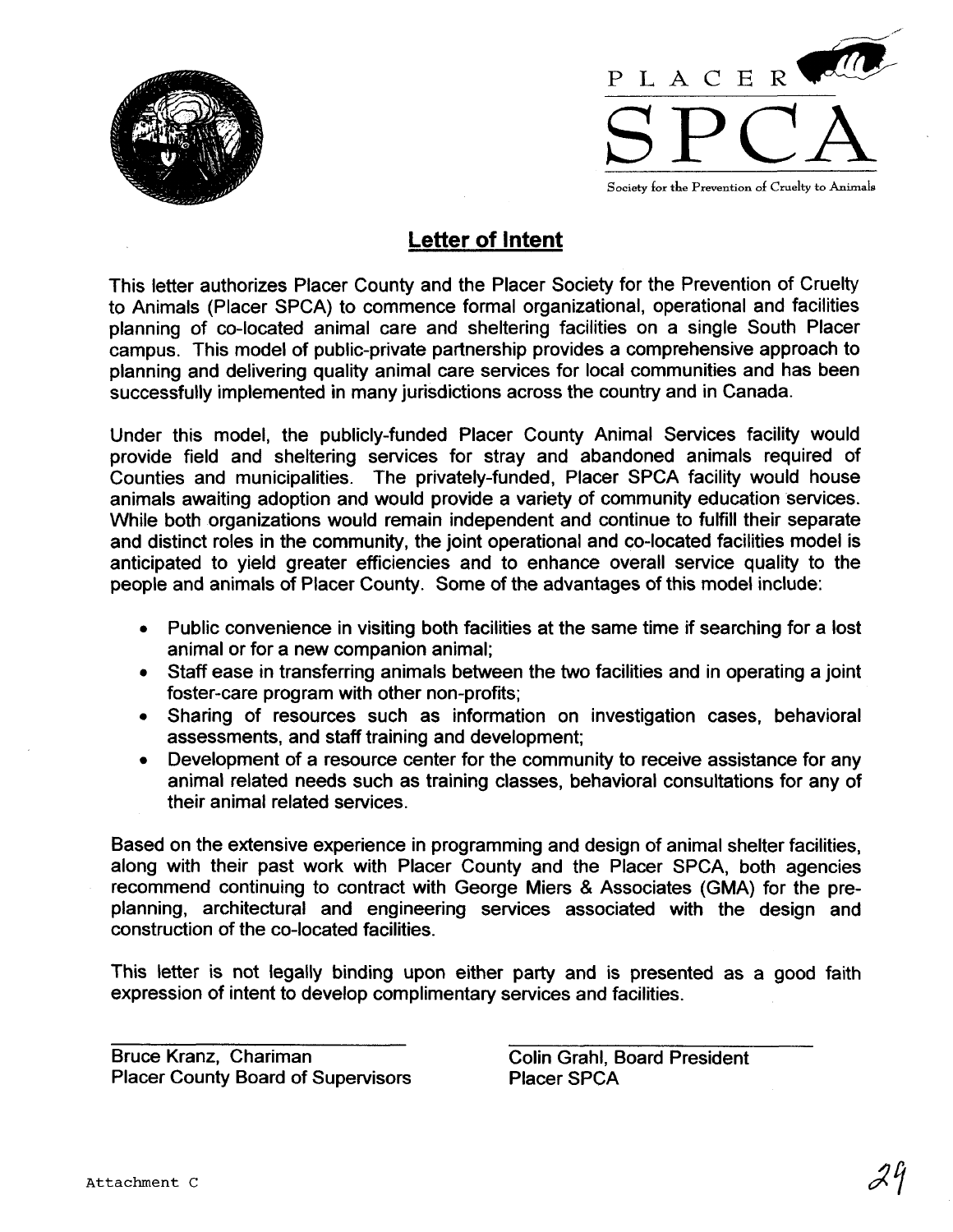



**Letter of Intent** 

This letter authorizes Placer County and the Placer Society for the Prevention of Cruelty to Animals (Placer SPCA) to commence formal organizational, operational and facilities planning of co-located animal care and sheltering facilities on a single South Placer campus. This model of public-private partnership provides a comprehensive approach to planning and delivering quality animal care services for local communities and has been successfully implemented in many jurisdictions across the country and in Canada.

Under this model, the publicly-funded Placer County Animal Services facility would provide field and sheltering services for stray and abandoned animals required of Counties and municipalities. The privately-funded, Placer SPCA facility would house animals awaiting adoption and would provide a variety of community education services. While both organizations would remain independent and continue to fulfill their separate and distinct roles in the community, the joint operational and co-located facilities model is anticipated to yield greater efficiencies and to enhance overall service quality to the people and animals of Placer County. Some of the advantages of this model include:

- Public convenience in visiting both facilities at the same time if searching for a lost animal or for a new companion animal;
- Staff ease in transferring animals between the two facilities and in operating a joint foster-care program with other non-profits;
- Sharing of resources such as information on investigation cases, behavioral assessments, and staff training and development;
- Development of a resource center for the community to receive assistance for any animal related needs such as training classes, behavioral consultations for any of their animal related services.

Based on the extensive experience in programming and design of animal shelter facilities, along with their past work with Placer County and the Placer SPCA, both agencies recommend continuing to contract with George Miers & Associates (GMA) for the preplanning, architectural and engineering services associated with the design and construction of the co-located facilities.

This letter is not legally binding upon either party and is presented as a good faith expression of intent to develop complimentary services and facilities.

Bruce Kranz, Chariman Colin Grahl, Board President Placer County Board of Supervisors Placer SPCA